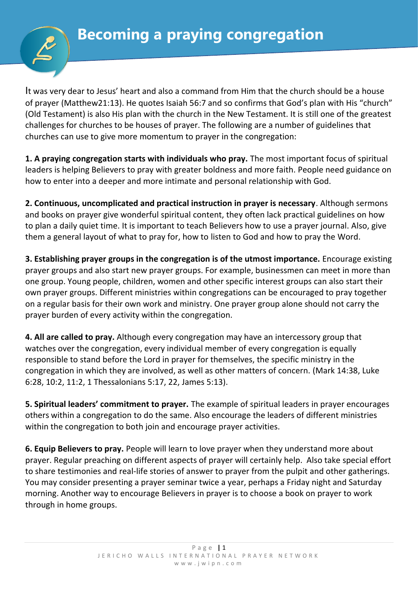

It was very dear to Jesus' heart and also a command from Him that the church should be a house of prayer (Matthew21:13). He quotes Isaiah 56:7 and so confirms that God's plan with His "church" (Old Testament) is also His plan with the church in the New Testament. It is still one of the greatest challenges for churches to be houses of prayer. The following are a number of guidelines that churches can use to give more momentum to prayer in the congregation:

**1. A praying congregation starts with individuals who pray.** The most important focus of spiritual leaders is helping Believers to pray with greater boldness and more faith. People need guidance on how to enter into a deeper and more intimate and personal relationship with God.

**2. Continuous, uncomplicated and practical instruction in prayer is necessary**. Although sermons and books on prayer give wonderful spiritual content, they often lack practical guidelines on how to plan a daily quiet time. It is important to teach Believers how to use a prayer journal. Also, give them a general layout of what to pray for, how to listen to God and how to pray the Word.

**3. Establishing prayer groups in the congregation is of the utmost importance.** Encourage existing prayer groups and also start new prayer groups. For example, businessmen can meet in more than one group. Young people, children, women and other specific interest groups can also start their own prayer groups. Different ministries within congregations can be encouraged to pray together on a regular basis for their own work and ministry. One prayer group alone should not carry the prayer burden of every activity within the congregation.

**4. All are called to pray.** Although every congregation may have an intercessory group that watches over the congregation, every individual member of every congregation is equally responsible to stand before the Lord in prayer for themselves, the specific ministry in the congregation in which they are involved, as well as other matters of concern. (Mark 14:38, Luke 6:28, 10:2, 11:2, 1 Thessalonians 5:17, 22, James 5:13).

**5. Spiritual leaders' commitment to prayer.** The example of spiritual leaders in prayer encourages others within a congregation to do the same. Also encourage the leaders of different ministries within the congregation to both join and encourage prayer activities.

**6. Equip Believers to pray.** People will learn to love prayer when they understand more about prayer. Regular preaching on different aspects of prayer will certainly help. Also take special effort to share testimonies and real-life stories of answer to prayer from the pulpit and other gatherings. You may consider presenting a prayer seminar twice a year, perhaps a Friday night and Saturday morning. Another way to encourage Believers in prayer is to choose a book on prayer to work through in home groups.